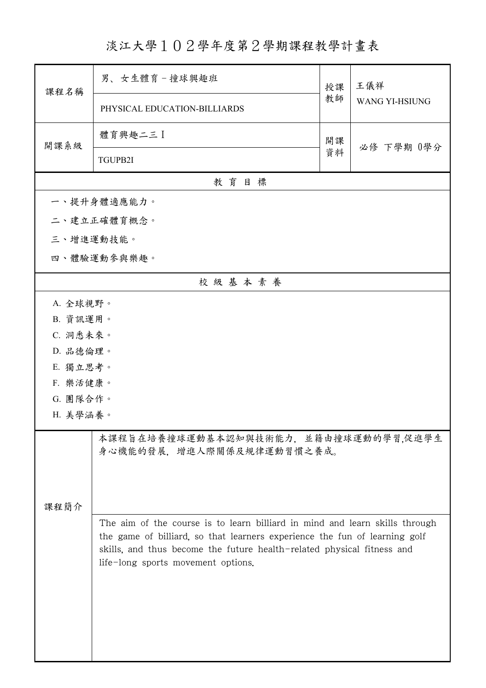淡江大學102學年度第2學期課程教學計畫表

| 課程名稱                                                              | 男、女生體育-撞球興趣班                                                                                                                                                                                                                                                              | 授課 | 王儀祥<br><b>WANG YI-HSIUNG</b> |  |  |
|-------------------------------------------------------------------|---------------------------------------------------------------------------------------------------------------------------------------------------------------------------------------------------------------------------------------------------------------------------|----|------------------------------|--|--|
|                                                                   | PHYSICAL EDUCATION-BILLIARDS                                                                                                                                                                                                                                              | 教師 |                              |  |  |
| 開課系級                                                              | 體育興趣二三 】                                                                                                                                                                                                                                                                  | 開課 | 必修 下學期 0學分                   |  |  |
|                                                                   | TGUPB2I                                                                                                                                                                                                                                                                   | 資料 |                              |  |  |
|                                                                   | 教育目標                                                                                                                                                                                                                                                                      |    |                              |  |  |
|                                                                   | 一、提升身體適應能力。                                                                                                                                                                                                                                                               |    |                              |  |  |
|                                                                   | 二、建立正確體育概念。                                                                                                                                                                                                                                                               |    |                              |  |  |
| 三、增進運動技能。                                                         |                                                                                                                                                                                                                                                                           |    |                              |  |  |
|                                                                   | 四、體驗運動參與樂趣。                                                                                                                                                                                                                                                               |    |                              |  |  |
|                                                                   | 校級基本素養                                                                                                                                                                                                                                                                    |    |                              |  |  |
| A. 全球視野。                                                          |                                                                                                                                                                                                                                                                           |    |                              |  |  |
| B. 資訊運用。                                                          |                                                                                                                                                                                                                                                                           |    |                              |  |  |
| C. 洞悉未來。                                                          |                                                                                                                                                                                                                                                                           |    |                              |  |  |
| D. 品德倫理。                                                          |                                                                                                                                                                                                                                                                           |    |                              |  |  |
| E. 獨立思考。                                                          |                                                                                                                                                                                                                                                                           |    |                              |  |  |
|                                                                   | F. 樂活健康。                                                                                                                                                                                                                                                                  |    |                              |  |  |
| G. 團隊合作。                                                          |                                                                                                                                                                                                                                                                           |    |                              |  |  |
| H. 美學涵養。                                                          |                                                                                                                                                                                                                                                                           |    |                              |  |  |
| 本課程旨在培養撞球運動基本認知與技術能力,並籍由撞球運動的學習,促進學生<br>身心機能的發展,增進人際關係及規律運動習慣之養成。 |                                                                                                                                                                                                                                                                           |    |                              |  |  |
| 课程简介                                                              |                                                                                                                                                                                                                                                                           |    |                              |  |  |
|                                                                   | The aim of the course is to learn billiard in mind and learn skills through<br>the game of billiard, so that learners experience the fun of learning golf<br>skills, and thus become the future health-related physical fitness and<br>life-long sports movement options. |    |                              |  |  |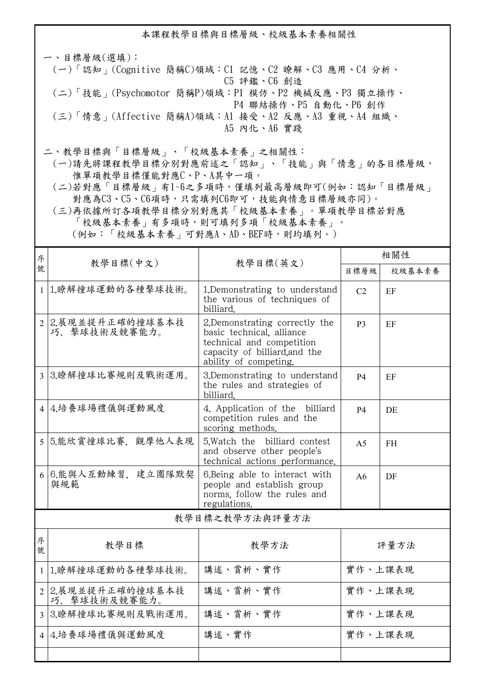本課程教學目標與目標層級、校級基本素養相關性 一、目標層級(選填): (一)「認知」(Cognitive 簡稱C)領域:C1 記憶、C2 瞭解、C3 應用、C4 分析、 C5 評鑑、C6 創造 (二)「技能」(Psychomotor 簡稱P)領域:P1 模仿、P2 機械反應、P3 獨立操作、 P4 聯結操作、P5 自動化、P6 創作

 (三)「情意」(Affective 簡稱A)領域:A1 接受、A2 反應、A3 重視、A4 組織、 A5 內化、A6 實踐

二、教學目標與「目標層級」、「校級基本素養」之相關性:

 (一)請先將課程教學目標分別對應前述之「認知」、「技能」與「情意」的各目標層級, 惟單項教學目標僅能對應C、P、A其中一項。

 (二)若對應「目標層級」有1~6之多項時,僅填列最高層級即可(例如:認知「目標層級」 對應為C3、C5、C6項時,只需填列C6即可,技能與情意目標層級亦同)。

 (三)再依據所訂各項教學目標分別對應其「校級基本素養」。單項教學目標若對應 「校級基本素養」有多項時,則可填列多項「校級基本素養」。 (例如:「校級基本素養」可對應A、AD、BEF時,則均填列。)

| 序              |                                   |                                                                                                                                                    | 相關性            |        |  |
|----------------|-----------------------------------|----------------------------------------------------------------------------------------------------------------------------------------------------|----------------|--------|--|
| 號              | 教學目標(中文)<br>教學目標(英文)              |                                                                                                                                                    | 目標層級           | 校級基本素養 |  |
|                | 1 1.瞭解撞球運動的各種擊球技術。                | 1. Demonstrating to understand<br>the various of techniques of<br>billiard.                                                                        | C <sub>2</sub> | EF     |  |
|                | 2 2.展現並提升正確的撞球基本技<br>巧、擊球技術及競賽能力。 | 2. Demonstrating correctly the<br>basic technical, alliance<br>technical and competition<br>capacity of billiard, and the<br>ability of competing. | <b>P3</b>      | EF     |  |
| $\mathcal{E}$  | 3.瞭解撞球比賽規則及戰術運用。                  | 3.Demonstrating to understand<br>the rules and strategies of<br>billiard.                                                                          | <b>P4</b>      | EF     |  |
|                | 4 4.培養球場禮儀與運動風度                   | 4. Application of the billiard<br>competition rules and the<br>scoring methods.                                                                    | <b>P4</b>      | DE     |  |
|                | 5 5.能欣賞撞球比賽, 觀摩他人表現               | 5. Watch the billiard contest<br>and observe other people's<br>technical actions performance.                                                      | A <sub>5</sub> | FH.    |  |
|                | 6 6.能與人互動練習, 建立團隊默契<br>與規範        | 6. Being able to interact with<br>people and establish group<br>norms, follow the rules and<br>regulations.                                        | A6             | DF     |  |
| 教學目標之教學方法與評量方法 |                                   |                                                                                                                                                    |                |        |  |
| 序<br>號         | 教學目標                              | 教學方法                                                                                                                                               |                | 評量方法   |  |
| $\mathbf{1}$   | 1.瞭解撞球運動的各種擊球技術。                  | 講述、賞析、實作                                                                                                                                           | 實作、上課表現        |        |  |
|                | 2 2.展現並提升正確的撞球基本技<br>巧、擊球技術及競賽能力。 | 講述、賞析、實作                                                                                                                                           | 實作、上課表現        |        |  |
|                | 3 3.瞭解撞球比賽規則及戰術運用。                | 講述、賞析、實作                                                                                                                                           | 實作、上課表現        |        |  |
|                | 4 4.培養球場禮儀與運動風度                   | 講述、實作                                                                                                                                              | 實作、上課表現        |        |  |
|                |                                   |                                                                                                                                                    |                |        |  |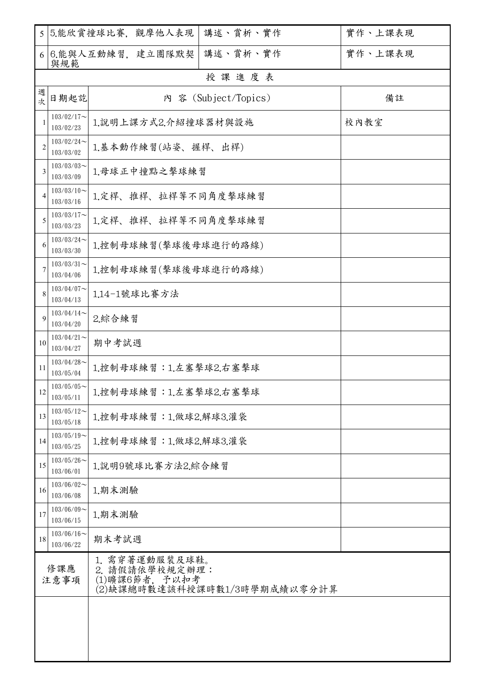| 5              |                            | 5.能欣賞撞球比賽, 觀摩他人表現<br>講述、賞析、實作                                                      | 實作、上課表現 |  |  |  |
|----------------|----------------------------|------------------------------------------------------------------------------------|---------|--|--|--|
| 6              | 與規範                        | 講述、賞析、實作<br>6.能與人互動練習, 建立團隊默契                                                      | 實作、上課表現 |  |  |  |
|                | 授課進度表                      |                                                                                    |         |  |  |  |
| 週<br>次         | 日期起訖                       | 內 容 (Subject/Topics)                                                               | 備註      |  |  |  |
| 1              | $103/02/17$ ~<br>103/02/23 | 1.說明上課方式2.介紹撞球器材與設施                                                                | 校內教室    |  |  |  |
| $\overline{2}$ | $103/02/24$ ~<br>103/03/02 | 1.基本動作練習(站姿、握桿、出桿)                                                                 |         |  |  |  |
| 3              | $103/03/03$ ~<br>103/03/09 | 1.母球正中撞點之擊球練習                                                                      |         |  |  |  |
| 4              | $103/03/10$ ~<br>103/03/16 | 1.定桿、推桿、拉桿等不同角度擊球練習                                                                |         |  |  |  |
| 5              | $103/03/17$ ~<br>103/03/23 | 1.定桿、推桿、拉桿等不同角度擊球練習                                                                |         |  |  |  |
| 6              | $103/03/24$ ~<br>103/03/30 | 1.控制母球練習(擊球後母球進行的路線)                                                               |         |  |  |  |
| 7              | $103/03/31$ ~<br>103/04/06 | 1.控制母球練習(擊球後母球進行的路線)                                                               |         |  |  |  |
| 8              | $103/04/07$ ~<br>103/04/13 | 1.14-1號球比賽方法                                                                       |         |  |  |  |
| 9              | $103/04/14$ ~<br>103/04/20 | 2.綜合練習                                                                             |         |  |  |  |
| 10             | $103/04/21$ ~<br>103/04/27 | 期中考試週                                                                              |         |  |  |  |
| 11             | $103/04/28$ ~<br>103/05/04 | 1.控制母球練習:1.左塞擊球2.右塞擊球                                                              |         |  |  |  |
| 12             | $103/05/05$ ~<br>103/05/11 | 1.控制母球練習:1.左塞擊球2.右塞擊球                                                              |         |  |  |  |
| 13             | $103/05/12$ ~<br>103/05/18 | 1.控制母球練習:1.做球2.解球3.灌袋                                                              |         |  |  |  |
| 14             | $103/05/19$ ~<br>103/05/25 | 1.控制母球練習:1.做球2.解球3.灌袋                                                              |         |  |  |  |
| 15             | $103/05/26$ ~<br>103/06/01 | 1.說明9號球比賽方法2.綜合練習                                                                  |         |  |  |  |
| 16             | $103/06/02$ ~<br>103/06/08 | 1.期末測驗                                                                             |         |  |  |  |
| 17             | $103/06/09$ ~<br>103/06/15 | 1.期末測驗                                                                             |         |  |  |  |
| 18             | $103/06/16$ ~<br>103/06/22 | 期末考試週                                                                              |         |  |  |  |
| 修課應<br>注意事項    |                            | 1. 需穿著運動服裝及球鞋。<br>2. 請假請依學校規定辦理:<br>(1)曠課6節者, 予以扣考<br>(2)缺課總時數達該科授課時數1/3時學期成績以零分計算 |         |  |  |  |
|                |                            |                                                                                    |         |  |  |  |